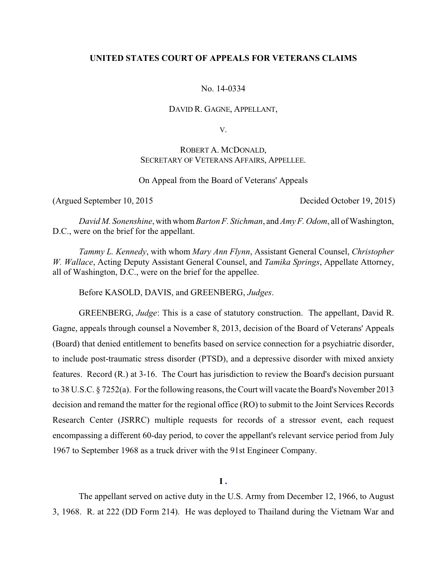## **UNITED STATES COURT OF APPEALS FOR VETERANS CLAIMS**

No. 14-0334

DAVID R. GAGNE, APPELLANT,

V.

# ROBERT A. MCDONALD, SECRETARY OF VETERANS AFFAIRS, APPELLEE.

On Appeal from the Board of Veterans' Appeals

(Argued September 10, 2015 Decided October 19, 2015)

*David M. Sonenshine*, with whom*Barton F. Stichman*, and *Amy F. Odom*, all of Washington, D.C., were on the brief for the appellant.

*Tammy L. Kennedy*, with whom *Mary Ann Flynn*, Assistant General Counsel, *Christopher W. Wallace*, Acting Deputy Assistant General Counsel, and *Tamika Springs*, Appellate Attorney, all of Washington, D.C., were on the brief for the appellee.

Before KASOLD, DAVIS, and GREENBERG, *Judges*.

GREENBERG, *Judge*: This is a case of statutory construction. The appellant, David R. Gagne, appeals through counsel a November 8, 2013, decision of the Board of Veterans' Appeals (Board) that denied entitlement to benefits based on service connection for a psychiatric disorder, to include post-traumatic stress disorder (PTSD), and a depressive disorder with mixed anxiety features. Record (R.) at 3-16. The Court has jurisdiction to review the Board's decision pursuant to 38 U.S.C. § 7252(a). For the following reasons, the Court will vacate the Board's November 2013 decision and remand the matter for the regional office (RO) to submit to the Joint Services Records Research Center (JSRRC) multiple requests for records of a stressor event, each request encompassing a different 60-day period, to cover the appellant's relevant service period from July 1967 to September 1968 as a truck driver with the 91st Engineer Company.

**I .**

The appellant served on active duty in the U.S. Army from December 12, 1966, to August 3, 1968. R. at 222 (DD Form 214). He was deployed to Thailand during the Vietnam War and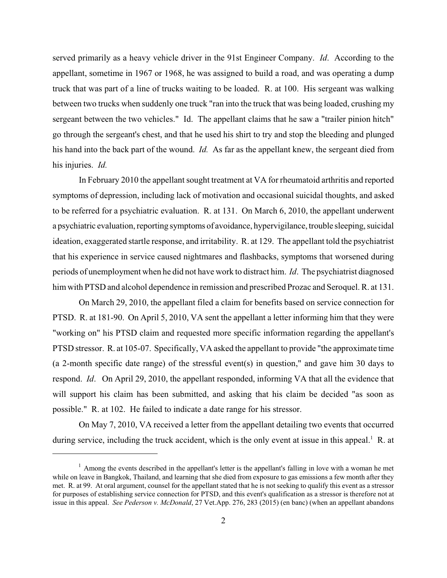served primarily as a heavy vehicle driver in the 91st Engineer Company. *Id*. According to the appellant, sometime in 1967 or 1968, he was assigned to build a road, and was operating a dump truck that was part of a line of trucks waiting to be loaded. R. at 100. His sergeant was walking between two trucks when suddenly one truck "ran into the truck that was being loaded, crushing my sergeant between the two vehicles." Id. The appellant claims that he saw a "trailer pinion hitch" go through the sergeant's chest, and that he used his shirt to try and stop the bleeding and plunged his hand into the back part of the wound. *Id.* As far as the appellant knew, the sergeant died from his injuries. *Id.*

In February 2010 the appellant sought treatment at VA for rheumatoid arthritis and reported symptoms of depression, including lack of motivation and occasional suicidal thoughts, and asked to be referred for a psychiatric evaluation. R. at 131. On March 6, 2010, the appellant underwent a psychiatric evaluation, reporting symptoms of avoidance, hypervigilance,trouble sleeping, suicidal ideation, exaggerated startle response, and irritability. R. at 129. The appellant told the psychiatrist that his experience in service caused nightmares and flashbacks, symptoms that worsened during periods of unemployment when he did not have work to distract him. *Id*. The psychiatrist diagnosed him with PTSD and alcohol dependence in remission and prescribed Prozac and Seroquel. R. at 131.

On March 29, 2010, the appellant filed a claim for benefits based on service connection for PTSD. R. at 181-90. On April 5, 2010, VA sent the appellant a letter informing him that they were "working on" his PTSD claim and requested more specific information regarding the appellant's PTSD stressor. R. at 105-07. Specifically, VA asked the appellant to provide "the approximate time (a 2-month specific date range) of the stressful event(s) in question," and gave him 30 days to respond. *Id*. On April 29, 2010, the appellant responded, informing VA that all the evidence that will support his claim has been submitted, and asking that his claim be decided "as soon as possible." R. at 102. He failed to indicate a date range for his stressor.

On May 7, 2010, VA received a letter from the appellant detailing two events that occurred during service, including the truck accident, which is the only event at issue in this appeal.<sup>1</sup> R. at

 $<sup>1</sup>$  Among the events described in the appellant's letter is the appellant's falling in love with a woman he met</sup> while on leave in Bangkok, Thailand, and learning that she died from exposure to gas emissions a few month after they met. R. at 99. At oral argument, counsel for the appellant stated that he is not seeking to qualify this event as a stressor for purposes of establishing service connection for PTSD, and this event's qualification as a stressor is therefore not at issue in this appeal. *See Pederson v. McDonald*, 27 Vet.App. 276, 283 (2015) (en banc) (when an appellant abandons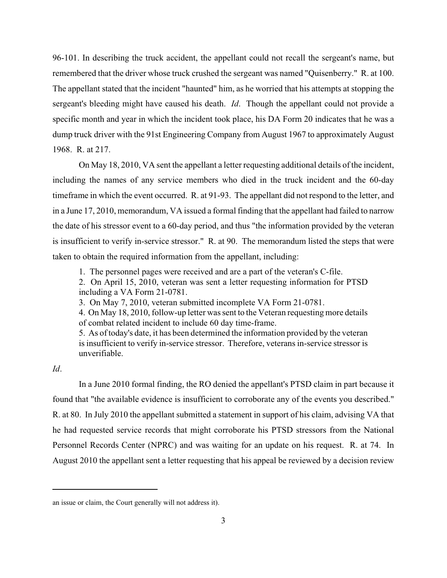96-101. In describing the truck accident, the appellant could not recall the sergeant's name, but remembered that the driver whose truck crushed the sergeant was named "Quisenberry." R. at 100. The appellant stated that the incident "haunted" him, as he worried that his attempts at stopping the sergeant's bleeding might have caused his death. *Id*. Though the appellant could not provide a specific month and year in which the incident took place, his DA Form 20 indicates that he was a dump truck driver with the 91st Engineering Company from August 1967 to approximately August 1968. R. at 217.

On May 18, 2010, VA sent the appellant a letter requesting additional details of the incident, including the names of any service members who died in the truck incident and the 60-day timeframe in which the event occurred. R. at 91-93. The appellant did not respond to the letter, and in a June 17, 2010, memorandum, VA issued a formal finding that the appellant had failed to narrow the date of his stressor event to a 60-day period, and thus "the information provided by the veteran is insufficient to verify in-service stressor." R. at 90. The memorandum listed the steps that were taken to obtain the required information from the appellant, including:

1. The personnel pages were received and are a part of the veteran's C-file.

2. On April 15, 2010, veteran was sent a letter requesting information for PTSD including a VA Form 21-0781.

3. On May 7, 2010, veteran submitted incomplete VA Form 21-0781.

4. On May 18, 2010, follow-up letter was sent to the Veteran requesting more details of combat related incident to include 60 day time-frame.

5. As of today's date, it has been determined the information provided by the veteran is insufficient to verify in-service stressor. Therefore, veterans in-service stressor is unverifiable.

*Id*.

In a June 2010 formal finding, the RO denied the appellant's PTSD claim in part because it found that "the available evidence is insufficient to corroborate any of the events you described." R. at 80. In July 2010 the appellant submitted a statement in support of his claim, advising VA that he had requested service records that might corroborate his PTSD stressors from the National Personnel Records Center (NPRC) and was waiting for an update on his request. R. at 74. In August 2010 the appellant sent a letter requesting that his appeal be reviewed by a decision review

an issue or claim, the Court generally will not address it).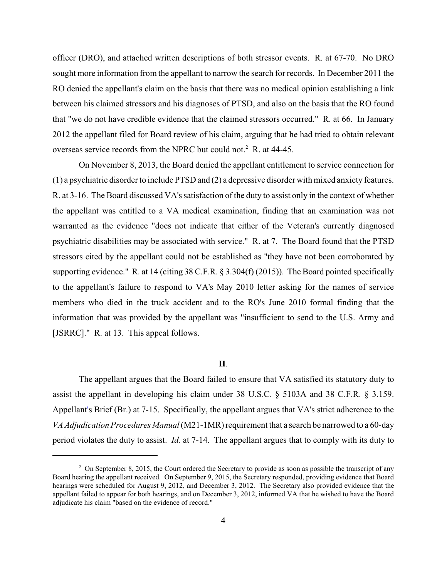officer (DRO), and attached written descriptions of both stressor events. R. at 67-70. No DRO sought more information from the appellant to narrow the search for records. In December 2011 the RO denied the appellant's claim on the basis that there was no medical opinion establishing a link between his claimed stressors and his diagnoses of PTSD, and also on the basis that the RO found that "we do not have credible evidence that the claimed stressors occurred." R. at 66. In January 2012 the appellant filed for Board review of his claim, arguing that he had tried to obtain relevant overseas service records from the NPRC but could not.<sup>2</sup> R. at  $44-45$ .

On November 8, 2013, the Board denied the appellant entitlement to service connection for (1) a psychiatric disorder to include PTSD and (2) a depressive disorder with mixed anxiety features. R. at 3-16. The Board discussed VA's satisfaction of the duty to assist only in the context of whether the appellant was entitled to a VA medical examination, finding that an examination was not warranted as the evidence "does not indicate that either of the Veteran's currently diagnosed psychiatric disabilities may be associated with service." R. at 7. The Board found that the PTSD stressors cited by the appellant could not be established as "they have not been corroborated by supporting evidence." R. at 14 (citing 38 C.F.R. § 3.304(f) (2015)). The Board pointed specifically to the appellant's failure to respond to VA's May 2010 letter asking for the names of service members who died in the truck accident and to the RO's June 2010 formal finding that the information that was provided by the appellant was "insufficient to send to the U.S. Army and [JSRRC]." R. at 13. This appeal follows.

### **II**.

The appellant argues that the Board failed to ensure that VA satisfied its statutory duty to assist the appellant in developing his claim under 38 U.S.C. § 5103A and 38 C.F.R. § 3.159. Appellant's Brief (Br.) at 7-15. Specifically, the appellant argues that VA's strict adherence to the *VAAdjudication Procedures Manual* (M21-1MR) requirement that a search be narrowed to a 60-day period violates the duty to assist. *Id.* at 7-14. The appellant argues that to comply with its duty to

<sup>&</sup>lt;sup>2</sup> On September 8, 2015, the Court ordered the Secretary to provide as soon as possible the transcript of any Board hearing the appellant received. On September 9, 2015, the Secretary responded, providing evidence that Board hearings were scheduled for August 9, 2012, and December 3, 2012. The Secretary also provided evidence that the appellant failed to appear for both hearings, and on December 3, 2012, informed VA that he wished to have the Board adjudicate his claim "based on the evidence of record."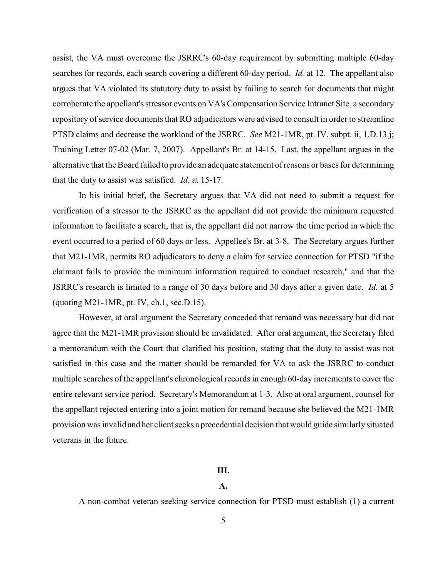assist, the VA must overcome the JSRRC's 60-day requirement by submitting multiple 60-day searches for records, each search covering a different 60-day period. *Id.* at 12. The appellant also argues that VA violated its statutory duty to assist by failing to search for documents that might corroborate the appellant's stressor events on VA's Compensation Service Intranet Site, a secondary repository of service documents that RO adjudicators were advised to consult in order to streamline PTSD claims and decrease the workload of the JSRRC. *See* M21-1MR, pt. IV, subpt. ii, 1.D.13.j; Training Letter 07-02 (Mar. 7, 2007). Appellant's Br. at 14-15. Last, the appellant argues in the alternative that the Board failed to provide an adequate statement of reasons or bases for determining that the duty to assist was satisfied. *Id.* at 15-17.

In his initial brief, the Secretary argues that VA did not need to submit a request for verification of a stressor to the JSRRC as the appellant did not provide the minimum requested information to facilitate a search, that is, the appellant did not narrow the time period in which the event occurred to a period of 60 days or less. Appellee's Br. at 3-8. The Secretary argues further that M21-1MR, permits RO adjudicators to deny a claim for service connection for PTSD "if the claimant fails to provide the minimum information required to conduct research," and that the JSRRC's research is limited to a range of 30 days before and 30 days after a given date. *Id.* at 5 (quoting M21-1MR, pt. IV, ch.1, sec.D.15).

However, at oral argument the Secretary conceded that remand was necessary but did not agree that the M21-1MR provision should be invalidated. After oral argument, the Secretary filed a memorandum with the Court that clarified his position, stating that the duty to assist was not satisfied in this case and the matter should be remanded for VA to ask the JSRRC to conduct multiple searches of the appellant's chronological records in enough 60-day increments to cover the entire relevant service period. Secretary's Memorandum at 1-3. Also at oral argument, counsel for the appellant rejected entering into a joint motion for remand because she believed the M21-1MR provision was invalid and her client seeks a precedential decision that would guide similarly situated veterans in the future.

#### **III.**

### **A.**

A non-combat veteran seeking service connection for PTSD must establish (1) a current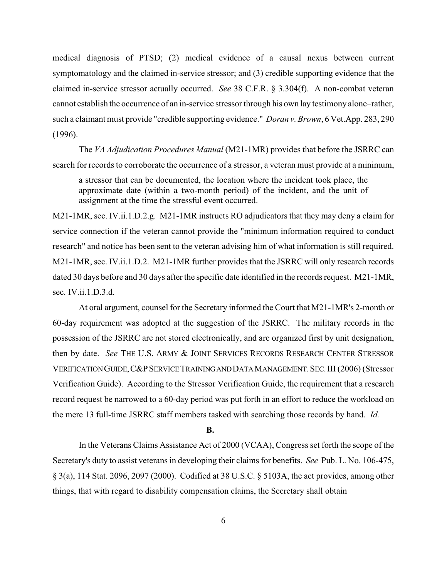medical diagnosis of PTSD; (2) medical evidence of a causal nexus between current symptomatology and the claimed in-service stressor; and (3) credible supporting evidence that the claimed in-service stressor actually occurred. *See* 38 C.F.R. § 3.304(f). A non-combat veteran cannot establish the occurrence of an in-service stressorthrough his own lay testimony alone–rather, such a claimant must provide "credible supporting evidence." *Doran v. Brown*, 6 Vet.App. 283, 290 (1996).

The *VA Adjudication Procedures Manual* (M21-1MR) provides that before the JSRRC can search for records to corroborate the occurrence of a stressor, a veteran must provide at a minimum,

a stressor that can be documented, the location where the incident took place, the approximate date (within a two-month period) of the incident, and the unit of assignment at the time the stressful event occurred.

M21-1MR, sec. IV.ii.1.D.2.g. M21-1MR instructs RO adjudicators that they may deny a claim for service connection if the veteran cannot provide the "minimum information required to conduct research" and notice has been sent to the veteran advising him of what information is still required. M21-1MR, sec. IV.ii.1.D.2. M21-1MR further provides that the JSRRC will only research records dated 30 days before and 30 days after the specific date identified in the records request. M21-1MR, sec. IV.ii.1.D.3.d.

At oral argument, counsel for the Secretary informed the Court that M21-1MR's 2-month or 60-day requirement was adopted at the suggestion of the JSRRC. The military records in the possession of the JSRRC are not stored electronically, and are organized first by unit designation, then by date. *See* THE U.S. ARMY & JOINT SERVICES RECORDS RESEARCH CENTER STRESSOR VERIFICATIONGUIDE,C&PSERVICETRAININGANDDATAMANAGEMENT.SEC.III (2006) (Stressor Verification Guide). According to the Stressor Verification Guide, the requirement that a research record request be narrowed to a 60-day period was put forth in an effort to reduce the workload on the mere 13 full-time JSRRC staff members tasked with searching those records by hand. *Id.*

**B.**

In the Veterans Claims Assistance Act of 2000 (VCAA), Congress set forth the scope of the Secretary's duty to assist veterans in developing their claims for benefits. *See* Pub. L. No. 106-475, § 3(a), 114 Stat. 2096, 2097 (2000). Codified at 38 U.S.C. § 5103A, the act provides, among other things, that with regard to disability compensation claims, the Secretary shall obtain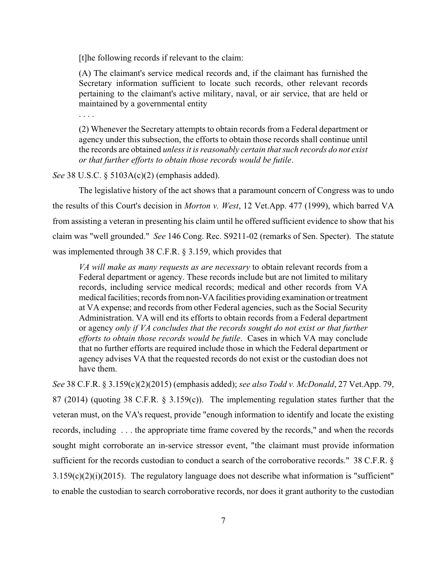[t]he following records if relevant to the claim:

(A) The claimant's service medical records and, if the claimant has furnished the Secretary information sufficient to locate such records, other relevant records pertaining to the claimant's active military, naval, or air service, that are held or maintained by a governmental entity

. . . .

(2) Whenever the Secretary attempts to obtain records from a Federal department or agency under this subsection, the efforts to obtain those records shall continue until the records are obtained *unless it is reasonably certain that such records do not exist or that further efforts to obtain those records would be futile*.

*See* 38 U.S.C. § 5103A(c)(2) (emphasis added).

The legislative history of the act shows that a paramount concern of Congress was to undo the results of this Court's decision in *Morton v. West*, 12 Vet.App. 477 (1999), which barred VA from assisting a veteran in presenting his claim until he offered sufficient evidence to show that his claim was "well grounded." *See* 146 Cong. Rec. S9211-02 (remarks of Sen. Specter). The statute was implemented through 38 C.F.R. § 3.159, which provides that

*VA will make as many requests as are necessary* to obtain relevant records from a Federal department or agency. These records include but are not limited to military records, including service medical records; medical and other records from VA medical facilities; records from non-VA facilities providing examination or treatment at VA expense; and records from other Federal agencies, such as the Social Security Administration. VA will end its efforts to obtain records from a Federal department or agency *only if VA concludes that the records sought do not exist or that further efforts to obtain those records would be futile*. Cases in which VA may conclude that no further efforts are required include those in which the Federal department or agency advises VA that the requested records do not exist or the custodian does not have them.

*See* 38 C.F.R. § 3.159(c)(2)(2015) (emphasis added); *see also Todd v. McDonald*, 27 Vet.App. 79, 87 (2014) (quoting 38 C.F.R. § 3.159(c)). The implementing regulation states further that the veteran must, on the VA's request, provide "enough information to identify and locate the existing records, including . . . the appropriate time frame covered by the records," and when the records sought might corroborate an in-service stressor event, "the claimant must provide information sufficient for the records custodian to conduct a search of the corroborative records." 38 C.F.R. § 3.159(c)(2)(i)(2015). The regulatory language does not describe what information is "sufficient" to enable the custodian to search corroborative records, nor does it grant authority to the custodian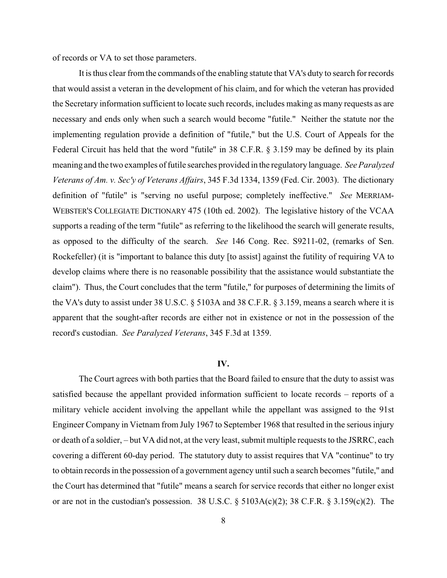of records or VA to set those parameters.

It is thus clear fromthe commands of the enabling statute that VA's duty to search for records that would assist a veteran in the development of his claim, and for which the veteran has provided the Secretary information sufficient to locate such records, includes making as many requests as are necessary and ends only when such a search would become "futile." Neither the statute nor the implementing regulation provide a definition of "futile," but the U.S. Court of Appeals for the Federal Circuit has held that the word "futile" in 38 C.F.R. § 3.159 may be defined by its plain meaning and the two examples of futile searches provided in the regulatory language. *See Paralyzed Veterans of Am. v. Sec'y of Veterans Affairs*, 345 F.3d 1334, 1359 (Fed. Cir. 2003). The dictionary definition of "futile" is "serving no useful purpose; completely ineffective." *See* MERRIAM-WEBSTER'S COLLEGIATE DICTIONARY 475 (10th ed. 2002). The legislative history of the VCAA supports a reading of the term "futile" as referring to the likelihood the search will generate results, as opposed to the difficulty of the search. *See* 146 Cong. Rec. S9211-02, (remarks of Sen. Rockefeller) (it is "important to balance this duty [to assist] against the futility of requiring VA to develop claims where there is no reasonable possibility that the assistance would substantiate the claim"). Thus, the Court concludes that the term "futile," for purposes of determining the limits of the VA's duty to assist under 38 U.S.C. § 5103A and 38 C.F.R. § 3.159, means a search where it is apparent that the sought-after records are either not in existence or not in the possession of the record's custodian. *See Paralyzed Veterans*, 345 F.3d at 1359.

### **IV.**

The Court agrees with both parties that the Board failed to ensure that the duty to assist was satisfied because the appellant provided information sufficient to locate records – reports of a military vehicle accident involving the appellant while the appellant was assigned to the 91st Engineer Company in Vietnam from July 1967 to September 1968 that resulted in the serious injury or death of a soldier, – but VA did not, at the very least, submit multiple requests to the JSRRC, each covering a different 60-day period. The statutory duty to assist requires that VA "continue" to try to obtain records in the possession of a government agency until such a search becomes "futile," and the Court has determined that "futile" means a search for service records that either no longer exist or are not in the custodian's possession. 38 U.S.C.  $\S$  5103A(c)(2); 38 C.F.R.  $\S$  3.159(c)(2). The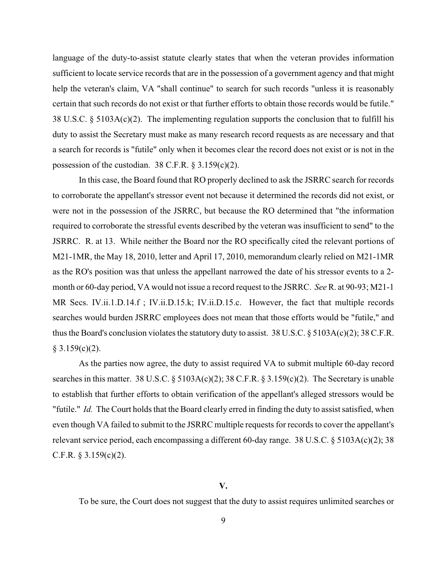language of the duty-to-assist statute clearly states that when the veteran provides information sufficient to locate service records that are in the possession of a government agency and that might help the veteran's claim, VA "shall continue" to search for such records "unless it is reasonably certain that such records do not exist or that further efforts to obtain those records would be futile." 38 U.S.C.  $\S$  5103A(c)(2). The implementing regulation supports the conclusion that to fulfill his duty to assist the Secretary must make as many research record requests as are necessary and that a search for records is "futile" only when it becomes clear the record does not exist or is not in the possession of the custodian.  $38$  C.F.R. §  $3.159(c)(2)$ .

In this case, the Board found that RO properly declined to ask the JSRRC search for records to corroborate the appellant's stressor event not because it determined the records did not exist, or were not in the possession of the JSRRC, but because the RO determined that "the information required to corroborate the stressful events described by the veteran was insufficient to send" to the JSRRC. R. at 13. While neither the Board nor the RO specifically cited the relevant portions of M21-1MR, the May 18, 2010, letter and April 17, 2010, memorandum clearly relied on M21-1MR as the RO's position was that unless the appellant narrowed the date of his stressor events to a 2 month or 60-day period, VA would not issue a record request to the JSRRC. *See* R. at 90-93; M21-1 MR Secs. IV.ii.1.D.14.f; IV.ii.D.15.k; IV.ii.D.15.c. However, the fact that multiple records searches would burden JSRRC employees does not mean that those efforts would be "futile," and thus the Board's conclusion violates the statutory duty to assist. 38 U.S.C. § 5103A(c)(2); 38 C.F.R.  $§ 3.159(c)(2).$ 

As the parties now agree, the duty to assist required VA to submit multiple 60-day record searches in this matter. 38 U.S.C. § 5103A(c)(2); 38 C.F.R. § 3.159(c)(2). The Secretary is unable to establish that further efforts to obtain verification of the appellant's alleged stressors would be "futile." *Id.* The Court holds that the Board clearly erred in finding the duty to assist satisfied, when even though VA failed to submit to the JSRRC multiple requests for records to cover the appellant's relevant service period, each encompassing a different 60-day range. 38 U.S.C. § 5103A(c)(2); 38 C.F.R.  $§$  3.159(c)(2).

# **V.**

To be sure, the Court does not suggest that the duty to assist requires unlimited searches or